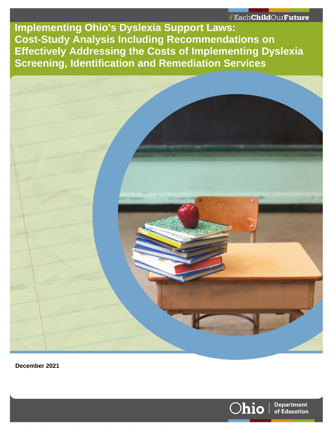### #EachChildOurFuture

**Implementing Ohio's Dyslexia Support Laws: Cost-Study Analysis Including Recommendations on Effectively Addressing the Costs of Implementing Dyslexia Screening, Identification and Remediation Services**



**December 2021**

Page 1 | Implementing Ohio's Dyslexia Support Laws | December 2021

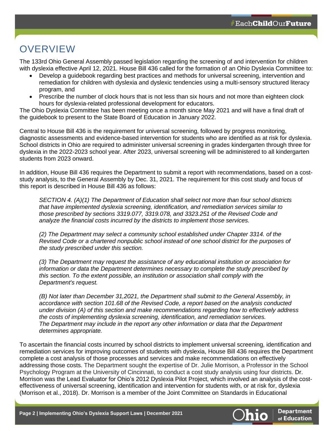# OVERVIEW

The 133rd Ohio General Assembly passed legislation regarding the screening of and intervention for children with dyslexia effective April 12, 2021. House Bill 436 called for the formation of an Ohio Dyslexia Committee to:

- Develop a guidebook regarding best practices and methods for universal screening, intervention and remediation for children with dyslexia and dyslexic tendencies using a multi-sensory structured literacy program, and
- Prescribe the number of clock hours that is not less than six hours and not more than eighteen clock hours for dyslexia-related professional development for educators.

The Ohio Dyslexia Committee has been meeting once a month since May 2021 and will have a final draft of the guidebook to present to the State Board of Education in January 2022.

Central to House Bill 436 is the requirement for universal screening, followed by progress monitoring, diagnostic assessments and evidence-based intervention for students who are identified as at risk for dyslexia. School districts in Ohio are required to administer universal screening in grades kindergarten through three for dyslexia in the 2022-2023 school year. After 2023, universal screening will be administered to all kindergarten students from 2023 onward.

In addition, House Bill 436 requires the Department to submit a report with recommendations, based on a coststudy analysis, to the General Assembly by Dec. 31, 2021. The requirement for this cost study and focus of this report is described in House Bill 436 as follows:

*SECTION 4. (A)(1) The Department of Education shall select not more than four school districts that have implemented dyslexia screening, identification, and remediation services similar to those prescribed by sections 3319.077, 3319.078, and 3323.251 of the Revised Code and analyze the financial costs incurred by the districts to implement those services.*

*(2) The Department may select a community school established under Chapter 3314. of the Revised Code or a chartered nonpublic school instead of one school district for the purposes of the study prescribed under this section.*

*(3) The Department may request the assistance of any educational institution or association for information or data the Department determines necessary to complete the study prescribed by this section. To the extent possible, an institution or association shall comply with the Department's request.*

*(B) Not later than December 31,2021, the Department shall submit to the General Assembly, in accordance with section 101.68 of the Revised Code, a report based on the analysis conducted under division (A) of this section and make recommendations regarding how to effectively address the costs of implementing dyslexia screening, identification, and remediation services. The Department may include in the report any other information or data that the Department determines appropriate.*

To ascertain the financial costs incurred by school districts to implement universal screening, identification and remediation services for improving outcomes of students with dyslexia, House Bill 436 requires the Department complete a cost analysis of those processes and services and make recommendations on effectively addressing those costs. The Department sought the expertise of Dr. Julie Morrison, a Professor in the School Psychology Program at the University of Cincinnati, to conduct a cost study analysis using four districts. Dr. Morrison was the Lead Evaluator for Ohio's 2012 Dyslexia Pilot Project, which involved an analysis of the costeffectiveness of universal screening, identification and intervention for students with, or at risk for, dyslexia (Morrison et al., 2018). Dr. Morrison is a member of the Joint Committee on Standards in Educational

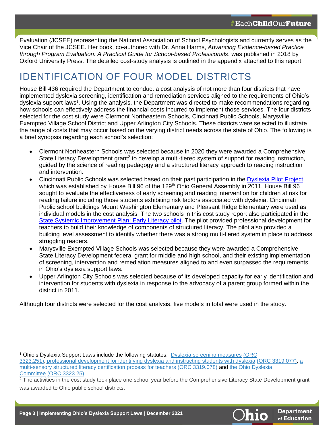Evaluation (JCSEE) representing the National Association of School Psychologists and currently serves as the Vice Chair of the JCSEE. Her book, co-authored with Dr. Anna Harms, *Advancing Evidence-based Practice through Program Evaluation: A Practical Guide for School-based Professionals*, was published in 2018 by Oxford University Press. The detailed cost-study analysis is outlined in the appendix attached to this report.

# IDENTIFICATION OF FOUR MODEL DISTRICTS

House Bill 436 required the Department to conduct a cost analysis of not more than four districts that have implemented dyslexia screening, identification and remediation services aligned to the requirements of Ohio's dyslexia support laws<sup>1</sup>. Using the analysis, the Department was directed to make recommendations regarding how schools can effectively address the financial costs incurred to implement those services. The four districts selected for the cost study were Clermont Northeastern Schools, Cincinnati Public Schools, Marysville Exempted Village School District and Upper Arlington City Schools. These districts were selected to illustrate the range of costs that may occur based on the varying district needs across the state of Ohio. The following is a brief synopsis regarding each school's selection:

- Clermont Northeastern Schools was selected because in 2020 they were awarded a Comprehensive State Literacy Development grant<sup>2</sup> to develop a multi-tiered system of support for reading instruction, guided by the science of reading pedagogy and a structured literacy approach to reading instruction and intervention.
- Cincinnati Public Schools was selected based on their past participation in the [Dyslexia Pilot Project](https://education.ohio.gov/Topics/Special-Education/Students-with-Disabilities/Specific-Learning-Disability/Dyslexia-Pilot-Project) which was established by House Bill 96 of the 129<sup>th</sup> Ohio General Assembly in 2011. House Bill 96 sought to evaluate the effectiveness of early screening and reading intervention for children at risk for reading failure including those students exhibiting risk factors associated with dyslexia. Cincinnati Public school buildings Mount Washington Elementary and Pleasant Ridge Elementary were used as individual models in the cost analysis. The two schools in this cost study report also participated in the [State Systemic Improvement Plan: Early Literacy pilot.](https://education.ohio.gov/getattachment/Topics/Special-Education/Early-Literacy/Ohio-Part-B-SSIP-Phase-III-Year-4-Report.pdf.aspx?lang=en-US) The pilot provided professional development for teachers to build their knowledge of components of structured literacy. The pilot also provided a building level assessment to identify whether there was a strong multi-tiered system in place to address struggling readers.
- Marysville Exempted Village Schools was selected because they were awarded a Comprehensive State Literacy Development federal grant for middle and high school, and their existing implementation of screening, intervention and remediation measures aligned to and even surpassed the requirements in Ohio's dyslexia support laws.
- Upper Arlington City Schools was selected because of its developed capacity for early identification and intervention for students with dyslexia in response to the advocacy of a parent group formed within the district in 2011.

Although four districts were selected for the cost analysis, five models in total were used in the study.



<sup>1</sup> Ohio's Dyslexia Support Laws include the following statutes: [Dyslexia screening measures](http://codes.ohio.gov/orc/3323.251) [\(](http://codes.ohio.gov/orc/3323.25v2)[ORC](https://codes.ohio.gov/ohio-revised-code/section-3323.251)  [3323.251](https://codes.ohio.gov/ohio-revised-code/section-3323.251)[\),](http://codes.ohio.gov/orc/3323.25v2) [professional development for identifying dyslexia and instructing students with dyslexia](http://codes.ohio.gov/orc/3319.077) [\(ORC 3319.077\),](http://codes.ohio.gov/orc/3319.077.v1) [a](https://codes.ohio.gov/orc/3319.078)  [multi-sensory structured literacy certification process](https://codes.ohio.gov/orc/3319.078) [for teachers \(ORC 3319.078\)](https://codes.ohio.gov/orc/3319.078) and [the Ohio Dyslexia](http://codes.ohio.gov/orc/3323.25v2)  [Committee](http://codes.ohio.gov/orc/3323.25v2) [\(ORC 3323.25\).](http://codes.ohio.gov/orc/3323.25v2)

<sup>&</sup>lt;sup>2</sup> The activities in the cost study took place one school year before the Comprehensive Literacy State Development grant was awarded to Ohio public school districts.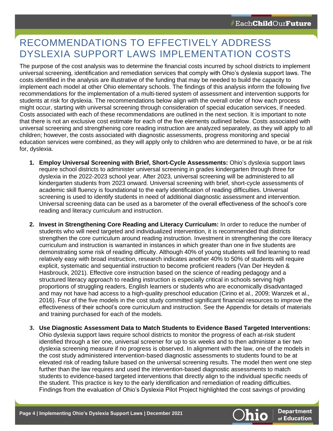# RECOMMENDATIONS TO EFFECTIVELY ADDRESS DYSLEXIA SUPPORT LAWS IMPLEMENTATION COSTS

The purpose of the cost analysis was to determine the financial costs incurred by school districts to implement universal screening, identification and remediation services that comply with Ohio's dyslexia support laws. The costs identified in the analysis are illustrative of the funding that may be needed to build the capacity to implement each model at other Ohio elementary schools. The findings of this analysis inform the following five recommendations for the implementation of a multi-tiered system of assessment and intervention supports for students at risk for dyslexia. The recommendations below align with the overall order of how each process might occur, starting with universal screening through consideration of special education services, if needed. Costs associated with each of these recommendations are outlined in the next section. It is important to note that there is not an exclusive cost estimate for each of the five elements outlined below. Costs associated with universal screening and strengthening core reading instruction are analyzed separately, as they will apply to all children; however, the costs associated with diagnostic assessments, progress monitoring and special education services were combined, as they will apply only to children who are determined to have, or be at risk for, dyslexia.

- **1. Employ Universal Screening with Brief, Short-Cycle Assessments:** Ohio's dyslexia support laws require school districts to administer universal screening in grades kindergarten through three for dyslexia in the 2022-2023 school year. After 2023, universal screening will be administered to all kindergarten students from 2023 onward. Universal screening with brief, short-cycle assessments of academic skill fluency is foundational to the early identification of reading difficulties. Universal screening is used to identify students in need of additional diagnostic assessment and intervention. Universal screening data can be used as a barometer of the overall effectiveness of the school's core reading and literacy curriculum and instruction.
- **2. Invest in Strengthening Core Reading and Literacy Curriculum:** In order to reduce the number of students who will need targeted and individualized intervention, it is recommended that districts strengthen the core curriculum around reading instruction. Investment in strengthening the core literacy curriculum and instruction is warranted in instances in which greater than one in five students are demonstrating some risk of reading difficulty. Although 40% of young students will find learning to read relatively easy with broad instruction, research indicates another 40% to 50% of students will require explicit, systematic and sequential instruction to become proficient readers (Van Der Heyden & Hasbrouck, 2021). Effective core instruction based on the science of reading pedagogy and a structured literacy approach to reading instruction is especially critical in schools serving high proportions of struggling readers, English learners or students who are economically disadvantaged and may not have had access to a high-quality preschool education (Cirino et al., 2009; Wanzek et al., 2016). Four of the five models in the cost study committed significant financial resources to improve the effectiveness of their school's core curriculum and instruction. See the Appendix for details of materials and training purchased for each of the models.
- **3. Use Diagnostic Assessment Data to Match Students to Evidence Based Targeted Interventions:** Ohio dyslexia support laws require school districts to monitor the progress of each at-risk student identified through a tier one, universal screener for up to six weeks and to then administer a tier two dyslexia screening measure if no progress is observed. In alignment with the law, one of the models in the cost study administered intervention-based diagnostic assessments to students found to be at elevated risk of reading failure based on the universal screening results. The model then went one step further than the law requires and used the intervention-based diagnostic assessments to match students to evidence-based targeted interventions that directly align to the individual specific needs of the student. This practice is key to the early identification and remediation of reading difficulties. Findings from the evaluation of Ohio's Dyslexia Pilot Project highlighted the cost savings of providing

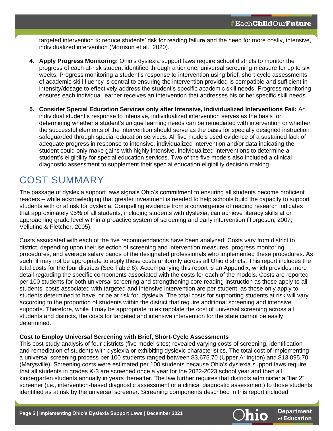targeted intervention to reduce students' risk for reading failure and the need for more costly, intensive, individualized intervention (Morrison et al., 2020).

- **4. Apply Progress Monitoring:** Ohio's dyslexia support laws require school districts to monitor the progress of each at-risk student identified through a tier one, universal screening measure for up to six weeks. Progress monitoring a student's response to intervention using brief, short-cycle assessments of academic skill fluency is central to ensuring the intervention provided is compatible and sufficient in intensity/dosage to effectively address the student's specific academic skill needs. Progress monitoring ensures each individual learner receives an intervention that addresses his or her specific skill needs.
- **5. Consider Special Education Services only after Intensive, Individualized Interventions Fail:** An individual student's response to intensive, individualized intervention serves as the basis for determining whether a student's unique learning needs can be remediated with intervention or whether the successful elements of the intervention should serve as the basis for specially designed instruction safeguarded through special education services. All five models used evidence of a sustained lack of adequate progress in response to intensive, individualized intervention and/or data indicating the student could only make gains with highly intensive, individualized interventions to determine a student's eligibility for special education services. Two of the five models also included a clinical diagnostic assessment to supplement their special education eligibility decision making.

# COST SUMMARY

The passage of dyslexia support laws signals Ohio's commitment to ensuring all students become proficient readers – while acknowledging that greater investment is needed to help schools build the capacity to support students with or at risk for dyslexia. Compelling evidence from a convergence of reading research indicates that approximately 95% of all students, including students with dyslexia, can achieve literacy skills at or approaching grade level within a proactive system of screening and early intervention (Torgesen, 2007; Vellutino & Fletcher, 2005).

Costs associated with each of the five recommendations have been analyzed. Costs vary from district to district, depending upon their selection of screening and intervention measures, progress monitoring procedures, and average salary bands of the designated professionals who implemented these procedures. As such, it may not be appropriate to apply these costs uniformly across all Ohio districts. This report includes the total costs for the four districts (See Table 6). Accompanying this report is an Appendix, which provides more detail regarding the specific components associated with the costs for each of the models. Costs are reported per 100 students for both universal screening and strengthening core reading instruction as those apply to all students; costs associated with targeted and intensive intervention are per student, as those only apply to students determined to have, or be at risk for, dyslexia. The total costs for supporting students at risk will vary according to the proportion of students within the district that require additional screening and intensive supports. Therefore, while it may be appropriate to extrapolate the cost of universal screening across all students and districts, the costs for targeted and intensive intervention for the state cannot be easily determined.

### **Cost to Employ Universal Screening with Brief, Short-Cycle Assessments**

This cost-study analysis of four districts (five model sites) revealed varying costs of screening, identification and remediation of students with dyslexia or exhibiting dyslexic characteristics. The total cost of implementing a universal screening process per 100 students ranged between \$3,675.70 (Upper Arlington) and \$13,095.70 (Marysville). Screening costs were estimated per 100 students because Ohio's dyslexia support laws require that all students in grades K-3 are screened once a year for the 2022-2023 school year and then all kindergarten students annually in years thereafter. The law further requires that districts administer a "tier 2" screener (i.e., intervention-based diagnostic assessment or a clinical diagnostic assessment) to those students identified as at risk by the universal screener. Screening components described in this report included



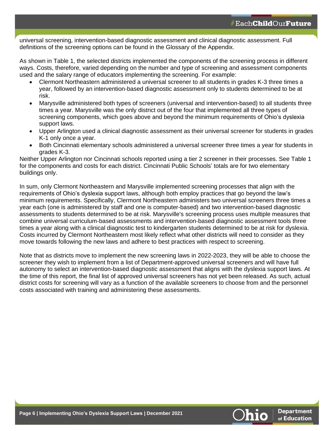**Department** of Education

universal screening, intervention-based diagnostic assessment and clinical diagnostic assessment. Full definitions of the screening options can be found in the Glossary of the Appendix.

As shown in Table 1, the selected districts implemented the components of the screening process in different ways. Costs, therefore, varied depending on the number and type of screening and assessment components used and the salary range of educators implementing the screening. For example:

- Clermont Northeastern administered a universal screener to all students in grades K-3 three times a year, followed by an intervention-based diagnostic assessment only to students determined to be at risk.
- Marysville administered both types of screeners (universal and intervention-based) to all students three times a year. Marysville was the only district out of the four that implemented all three types of screening components, which goes above and beyond the minimum requirements of Ohio's dyslexia support laws.
- Upper Arlington used a clinical diagnostic assessment as their universal screener for students in grades K-1 only once a year.
- Both Cincinnati elementary schools administered a universal screener three times a year for students in grades K-3.

Neither Upper Arlington nor Cincinnati schools reported using a tier 2 screener in their processes. See Table 1 for the components and costs for each district. Cincinnati Public Schools' totals are for two elementary buildings only.

In sum, only Clermont Northeastern and Marysville implemented screening processes that align with the requirements of Ohio's dyslexia support laws, although both employ practices that go beyond the law's minimum requirements. Specifically, Clermont Northeastern administers two universal screeners three times a year each (one is administered by staff and one is computer-based) and two intervention-based diagnostic assessments to students determined to be at risk. Marysville's screening process uses multiple measures that combine universal curriculum-based assessments and intervention-based diagnostic assessment tools three times a year along with a clinical diagnostic test to kindergarten students determined to be at risk for dyslexia. Costs incurred by Clermont Northeastern most likely reflect what other districts will need to consider as they move towards following the new laws and adhere to best practices with respect to screening.

Note that as districts move to implement the new screening laws in 2022-2023, they will be able to choose the screener they wish to implement from a list of Department-approved universal screeners and will have full autonomy to select an intervention-based diagnostic assessment that aligns with the dyslexia support laws. At the time of this report, the final list of approved universal screeners has not yet been released. As such, actual district costs for screening will vary as a function of the available screeners to choose from and the personnel costs associated with training and administering these assessments.

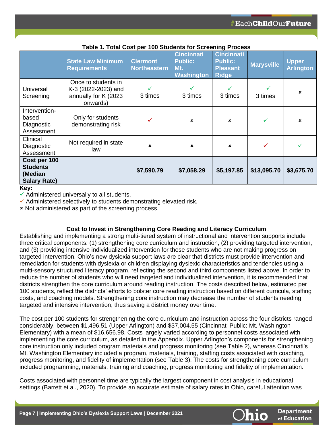|                                                                   | <b>State Law Minimum</b><br><b>Requirements</b>                                | <b>Clermont</b><br><b>Northeastern</b> | <b>Cincinnati</b><br><b>Public:</b><br>Mt.<br>Washington | <b>Cincinnati</b><br><b>Public:</b><br><b>Pleasant</b><br><b>Ridge</b> | <b>Marysville</b> | <b>Upper</b><br><b>Arlington</b> |
|-------------------------------------------------------------------|--------------------------------------------------------------------------------|----------------------------------------|----------------------------------------------------------|------------------------------------------------------------------------|-------------------|----------------------------------|
| Universal<br>Screening                                            | Once to students in<br>K-3 (2022-2023) and<br>annually for K (2023<br>onwards) | 3 times                                | 3 times                                                  | 3 times                                                                | 3 times           | $\pmb{\times}$                   |
| Intervention-<br>based<br>Diagnostic<br>Assessment                | Only for students<br>demonstrating risk                                        | ✓                                      | $\mathbf x$                                              | $\boldsymbol{\mathsf{x}}$                                              | ✓                 | $\pmb{\times}$                   |
| Clinical<br>Diagnostic<br>Assessment                              | Not required in state<br>law                                                   | $\boldsymbol{\mathsf{x}}$              | $\mathbf{x}$                                             | $\boldsymbol{\mathsf{x}}$                                              |                   |                                  |
| Cost per 100<br><b>Students</b><br>(Median<br><b>Salary Rate)</b> |                                                                                | \$7,590.79                             | \$7,058.29                                               | \$5,197.85                                                             | \$13,095.70       | \$3,675.70                       |

| Table 1. Total Cost per 100 Students for Screening Process |  |
|------------------------------------------------------------|--|
|------------------------------------------------------------|--|

**Key:**

 $\checkmark$  Administered universally to all students.

 $\checkmark$  Administered selectively to students demonstrating elevated risk.

Not administered as part of the screening process.

### **Cost to Invest in Strengthening Core Reading and Literacy Curriculum**

Establishing and implementing a strong multi-tiered system of instructional and intervention supports include three critical components: (1) strengthening core curriculum and instruction, (2) providing targeted intervention, and (3) providing intensive individualized intervention for those students who are not making progress on targeted intervention. Ohio's new dyslexia support laws are clear that districts must provide intervention and remediation for students with dyslexia or children displaying dyslexic characteristics and tendencies using a multi-sensory structured literacy program, reflecting the second and third components listed above. In order to reduce the number of students who will need targeted and individualized intervention, it is recommended that districts strengthen the core curriculum around reading instruction. The costs described below, estimated per 100 students, reflect the districts' efforts to bolster core reading instruction based on different curricula, staffing costs, and coaching models. Strengthening core instruction may decrease the number of students needing targeted and intensive intervention, thus saving a district money over time.

The cost per 100 students for strengthening the core curriculum and instruction across the four districts ranged considerably, between \$1,496.51 (Upper Arlington) and \$37,004.55 (Cincinnati Public: Mt. Washington Elementary) with a mean of \$16,656.98. Costs largely varied according to personnel costs associated with implementing the core curriculum, as detailed in the Appendix. Upper Arlington's components for strengthening core instruction only included program materials and progress monitoring (see Table 2), whereas Cincinnati's Mt. Washington Elementary included a program, materials, training, staffing costs associated with coaching, progress monitoring, and fidelity of implementation (see Table 3). The costs for strengthening core curriculum included programming, materials, training and coaching, progress monitoring and fidelity of implementation.

Costs associated with personnel time are typically the largest component in cost analysis in educational settings (Barrett et al., 2020). To provide an accurate estimate of salary rates in Ohio, careful attention was

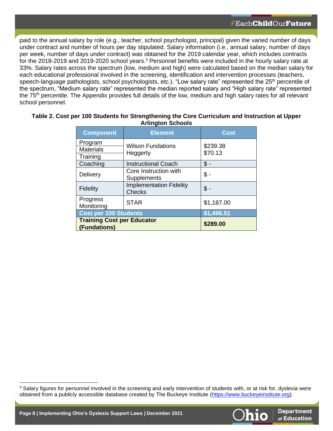paid to the annual salary by role (e.g., teacher, school psychologist, principal) given the varied number of days under contract and number of hours per day stipulated. Salary information (i.e., annual salary, number of days per week, number of days under contract) was obtained for the 2019 calendar year, which includes contracts for the 2018-2019 and 2019-2020 school years.<sup>3</sup> Personnel benefits were included in the hourly salary rate at 33%. Salary rates across the spectrum (low, medium and high) were calculated based on the median salary for each educational professional involved in the screening, identification and intervention processes (teachers, speech-language pathologists, school psychologists, etc.). "Low salary rate" represented the 25<sup>th</sup> percentile of the spectrum, "Medium salary rate" represented the median reported salary and "High salary rate" represented the 75<sup>th</sup> percentile. The Appendix provides full details of the low, medium and high salary rates for all relevant school personnel.

| <b>Component</b>                                  | <b>Element</b>                                  | <b>Cost</b>         |  |
|---------------------------------------------------|-------------------------------------------------|---------------------|--|
| Program<br><b>Materials</b><br>Training           | <b>Wilson Fundations</b><br>Heggerty            | \$239.38<br>\$70.13 |  |
| Coaching                                          | <b>Instructional Coach</b>                      | $$ -$               |  |
| Delivery                                          | Core Instruction with<br>Supplements            | $\mathsf{\$}$ -     |  |
| <b>Fidelity</b>                                   | <b>Implementation Fidelity</b><br><b>Checks</b> | $\mathsf{\$}$ -     |  |
| Progress<br>Monitoring                            | <b>STAR</b>                                     | \$1,187.00          |  |
| <b>Cost per 100 Students</b>                      | \$1,496.51                                      |                     |  |
| <b>Training Cost per Educator</b><br>(Fundations) | \$289.00                                        |                     |  |

#### **Table 2. Cost per 100 Students for Strengthening the Core Curriculum and Instruction at Upper Arlington Schools**



**Department** of Education

<sup>&</sup>lt;sup>3</sup> Salary figures for personnel involved in the screening and early intervention of students with, or at risk for, dyslexia were obtained from a publicly accessible database created by The Buckeye Institute [\(https://www.buckeyeinstitute.org\)](https://www.buckeyeinstitute.org/).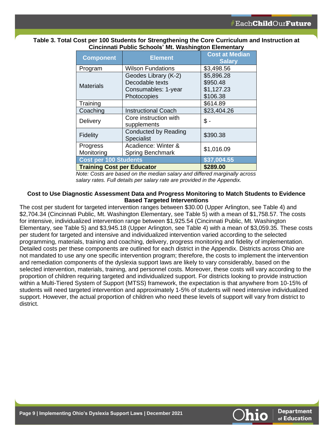**Department** of Education

#### **Table 3. Total Cost per 100 Students for Strengthening the Core Curriculum and Instruction at Cincinnati Public Schools' Mt. Washington Elementary**

| <b>Component</b>                              | <b>Element</b>                | <b>Cost at Median</b><br><b>Salary</b> |  |
|-----------------------------------------------|-------------------------------|----------------------------------------|--|
| Program                                       | <b>Wilson Fundations</b>      | \$3,498.56                             |  |
|                                               | Geodes Library (K-2)          | \$5,896.28                             |  |
|                                               | Decodable texts               | \$950.48                               |  |
| <b>Materials</b>                              | Consumables: 1-year           | \$1,127.23                             |  |
|                                               | Photocopies                   | \$106.38                               |  |
| Training                                      |                               | \$614.89                               |  |
| Coaching                                      | <b>Instructional Coach</b>    | \$23,404.26                            |  |
|                                               | Core instruction with         | $\mathsf{\$}$ -                        |  |
| Delivery                                      | supplements                   |                                        |  |
|                                               | <b>Conducted by Reading</b>   | \$390.38                               |  |
|                                               | Fidelity<br><b>Specialist</b> |                                        |  |
| Progress                                      | Acadience: Winter &           |                                        |  |
| Monitoring                                    | Spring Benchmark              | \$1,016.09                             |  |
| <b>Cost per 100 Students</b>                  |                               | \$37,004.55                            |  |
| <b>Training Cost per Educator</b><br>\$289.00 |                               |                                        |  |

*Note: Costs are based on the median salary and differed marginally across salary rates. Full details per salary rate are provided in the Appendix.*

#### **Cost to Use Diagnostic Assessment Data and Progress Monitoring to Match Students to Evidence Based Targeted Interventions**

The cost per student for targeted intervention ranges between \$30.00 (Upper Arlington, see Table 4) and \$2,704.34 (Cincinnati Public, Mt. Washington Elementary, see Table 5) with a mean of \$1,758.57. The costs for intensive, individualized intervention range between \$1,925.54 (Cincinnati Public, Mt. Washington Elementary, see Table 5) and \$3,945.18 (Upper Arlington, see Table 4) with a mean of \$3,059.35. These costs per student for targeted and intensive and individualized intervention varied according to the selected programming, materials, training and coaching, delivery, progress monitoring and fidelity of implementation. Detailed costs per these components are outlined for each district in the Appendix. Districts across Ohio are not mandated to use any one specific intervention program; therefore, the costs to implement the intervention and remediation components of the dyslexia support laws are likely to vary considerably, based on the selected intervention, materials, training, and personnel costs. Moreover, these costs will vary according to the proportion of children requiring targeted and individualized support. For districts looking to provide instruction within a Multi-Tiered System of Support (MTSS) framework, the expectation is that anywhere from 10-15% of students will need targeted intervention and approximately 1-5% of students will need intensive individualized support. However, the actual proportion of children who need these levels of support will vary from district to district.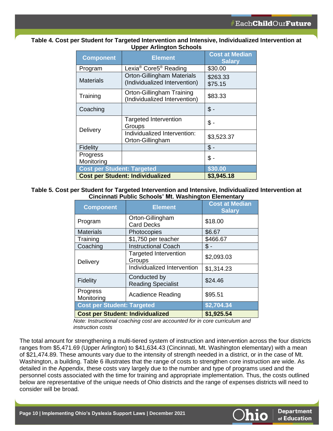#### **Table 4. Cost per Student for Targeted Intervention and Intensive, Individualized Intervention at Upper Arlington Schools**

| <b>Component</b>                        | <b>Element</b>                                                     | <b>Cost at Median</b><br><b>Salary</b> |  |
|-----------------------------------------|--------------------------------------------------------------------|----------------------------------------|--|
| Program                                 | Lexia <sup>®</sup> Core5 <sup>®</sup> Reading                      | \$30.00                                |  |
| <b>Materials</b>                        | <b>Orton-Gillingham Materials</b><br>(Individualized Intervention) | \$263.33<br>\$75.15                    |  |
| Training                                | Orton-Gillingham Training<br>(Individualized Intervention)         | \$83.33                                |  |
| Coaching                                |                                                                    | $\mathsf{\$}$ -                        |  |
|                                         | <b>Targeted Intervention</b><br>Groups                             | $\mathsf{\$}$ -                        |  |
| Delivery                                | Individualized Intervention:<br>Orton-Gillingham                   | \$3,523.37                             |  |
| Fidelity                                |                                                                    | $\mathsf{\$}$ -                        |  |
| Progress<br>Monitoring                  |                                                                    | $\$\,$ -                               |  |
| <b>Cost per Student: Targeted</b>       | \$30.00                                                            |                                        |  |
| <b>Cost per Student: Individualized</b> | \$3,945.18                                                         |                                        |  |

**Table 5. Cost per Student for Targeted Intervention and Intensive, Individualized Intervention at Cincinnati Public Schools' Mt. Washington Elementary**

| <b>Component</b>                                      | <b>Element</b>                            | <b>Cost at Median</b><br><b>Salary</b> |  |
|-------------------------------------------------------|-------------------------------------------|----------------------------------------|--|
| Program                                               | Orton-Gillingham<br><b>Card Decks</b>     | \$18.00                                |  |
| <b>Materials</b>                                      | Photocopies                               | \$6.67                                 |  |
| Training                                              | \$1,750 per teacher                       | \$466.67                               |  |
| Coaching                                              | <b>Instructional Coach</b>                | $$ -$                                  |  |
| <b>Delivery</b>                                       | <b>Targeted Intervention</b><br>Groups    | \$2,093.03                             |  |
|                                                       | Individualized Intervention               | \$1,314.23                             |  |
| Fidelity                                              | Conducted by<br><b>Reading Specialist</b> | \$24.46                                |  |
| Progress<br>Monitoring                                | <b>Acadience Reading</b>                  | \$95.51                                |  |
| \$2,704.34<br><b>Cost per Student: Targeted</b>       |                                           |                                        |  |
| <b>Cost per Student: Individualized</b><br>\$1,925.54 |                                           |                                        |  |

*Note: Instructional coaching cost are accounted for in core curriculum and instruction costs*

The total amount for strengthening a multi-tiered system of instruction and intervention across the four districts ranges from \$5,471.69 (Upper Arlington) to \$41,634.43 (Cincinnati, Mt. Washington elementary) with a mean of \$21,474.89. These amounts vary due to the intensity of strength needed in a district, or in the case of Mt. Washington, a building. Table 6 illustrates that the range of costs to strengthen core instruction are wide. As detailed in the Appendix, these costs vary largely due to the number and type of programs used and the personnel costs associated with the time for training and appropriate implementation. Thus, the costs outlined below are representative of the unique needs of Ohio districts and the range of expenses districts will need to consider will be broad.

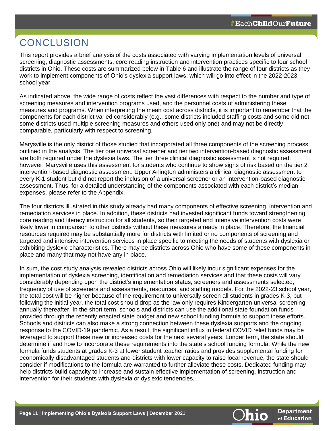**Department** of Education

### **CONCLUSION**

This report provides a brief analysis of the costs associated with varying implementation levels of universal screening, diagnostic assessments, core reading instruction and intervention practices specific to four school districts in Ohio. These costs are summarized below in Table 6 and illustrate the range of four districts as they work to implement components of Ohio's dyslexia support laws, which will go into effect in the 2022-2023 school year.

As indicated above, the wide range of costs reflect the vast differences with respect to the number and type of screening measures and intervention programs used, and the personnel costs of administering these measures and programs. When interpreting the mean cost across districts, it is important to remember that the components for each district varied considerably (e.g., some districts included staffing costs and some did not, some districts used multiple screening measures and others used only one) and may not be directly comparable, particularly with respect to screening.

Marysville is the only district of those studied that incorporated all three components of the screening process outlined in the analysis. The tier one universal screener and tier two intervention-based diagnostic assessment are both required under the dyslexia laws. The tier three clinical diagnostic assessment is not required; however, Marysville uses this assessment for students who continue to show signs of risk based on the tier 2 intervention-based diagnostic assessment. Upper Arlington administers a clinical diagnostic assessment to every K-1 student but did not report the inclusion of a universal screener or an intervention-based diagnostic assessment. Thus, for a detailed understanding of the components associated with each district's median expenses, please refer to the Appendix.

The four districts illustrated in this study already had many components of effective screening, intervention and remediation services in place. In addition, these districts had invested significant funds toward strengthening core reading and literacy instruction for all students, so their targeted and intensive intervention costs were likely lower in comparison to other districts without these measures already in place. Therefore, the financial resources required may be substantially more for districts with limited or no components of screening and targeted and intensive intervention services in place specific to meeting the needs of students with dyslexia or exhibiting dyslexic characteristics. There may be districts across Ohio who have some of these components in place and many that may not have any in place.

In sum, the cost study analysis revealed districts across Ohio will likely incur significant expenses for the implementation of dyslexia screening, identification and remediation services and that these costs will vary considerably depending upon the district's implementation status, screeners and assessments selected, frequency of use of screeners and assessments, resources, and staffing models. For the 2022-23 school year, the total cost will be higher because of the requirement to universally screen all students in grades K-3, but following the initial year, the total cost should drop as the law only requires Kindergarten universal screening annually thereafter. In the short term, schools and districts can use the additional state foundation funds provided through the recently enacted state budget and new school funding formula to support these efforts. Schools and districts can also make a strong connection between these dyslexia supports and the ongoing response to the COVID-19 pandemic. As a result, the significant influx in federal COVID relief funds may be leveraged to support these new or increased costs for the next several years. Longer term, the state should determine if and how to incorporate these requirements into the state's school funding formula. While the new formula funds students at grades K-3 at lower student teacher ratios and provides supplemental funding for economically disadvantaged students and districts with lower capacity to raise local revenue, the state should consider if modifications to the formula are warranted to further alleviate these costs. Dedicated funding may help districts build capacity to increase and sustain effective implementation of screening, instruction and intervention for their students with dyslexia or dyslexic tendencies.